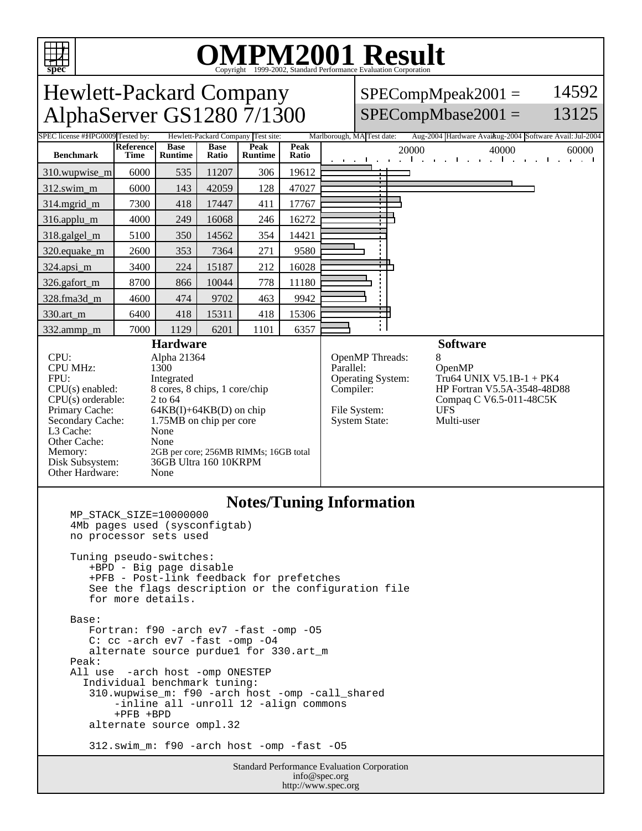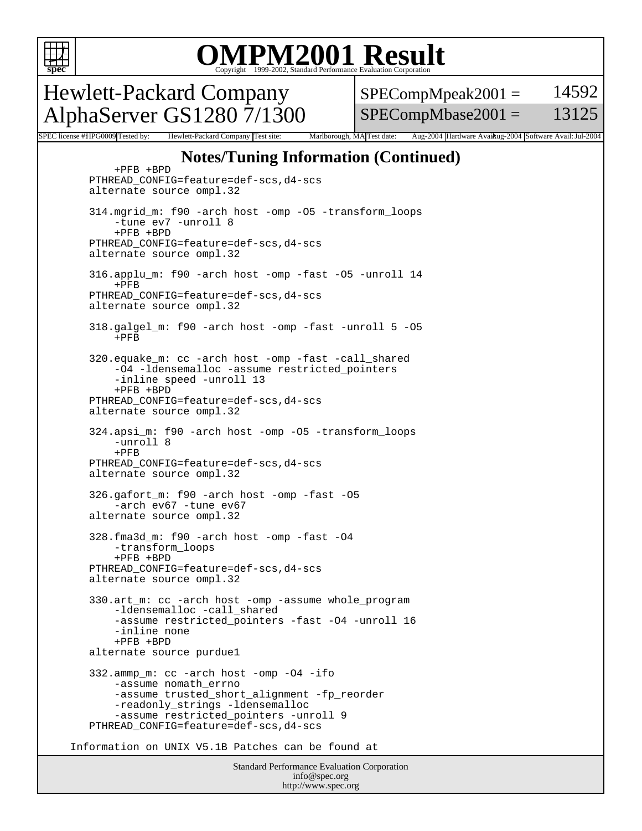

## OMPM2001 Result to Evaluation Corporation

Hewlett-Packard Company AlphaServer GS1280 7/1300  $SPECompMpeak2001 =$ SPECompMbase2001 = 14592 13125

SPEC license #HPG0009 Tested by: Hewlett-Packard Company Test site: Marlborough, MA Test date: Aug-2004 Hardware Avail: Mu-2004 Software Avail: Jul-2004

#### **Notes/Tuning Information (Continued)**

Standard Performance Evaluation Corporation info@spec.org http://www.spec.org +PFB +BPD PTHREAD\_CONFIG=feature=def-scs,d4-scs alternate source ompl.32 314.mgrid\_m: f90 -arch host -omp -O5 -transform\_loops -tune ev7 -unroll 8 +PFB +BPD PTHREAD\_CONFIG=feature=def-scs,d4-scs alternate source ompl.32 316.applu\_m: f90 -arch host -omp -fast -O5 -unroll 14 +PFB PTHREAD\_CONFIG=feature=def-scs,d4-scs alternate source ompl.32 318.galgel\_m: f90 -arch host -omp -fast -unroll 5 -O5  $+$ PFR 320.equake\_m: cc -arch host -omp -fast -call\_shared -O4 -ldensemalloc -assume restricted\_pointers -inline speed -unroll 13 +PFB +BPD PTHREAD\_CONFIG=feature=def-scs,d4-scs alternate source ompl.32 324.apsi\_m: f90 -arch host -omp -O5 -transform\_loops -unroll 8  $+$ PFB PTHREAD\_CONFIG=feature=def-scs,d4-scs alternate source ompl.32 326.gafort\_m: f90 -arch host -omp -fast -O5 -arch ev67 -tune ev67 alternate source ompl.32 328.fma3d\_m: f90 -arch host -omp -fast -O4 -transform\_loops +PFB +BPD PTHREAD\_CONFIG=feature=def-scs,d4-scs alternate source ompl.32 330.art\_m: cc -arch host -omp -assume whole\_program -ldensemalloc -call\_shared -assume restricted\_pointers -fast -O4 -unroll 16 -inline none +PFB +BPD alternate source purdue1 332.ammp\_m: cc -arch host -omp -O4 -ifo -assume nomath\_errno -assume trusted\_short\_alignment -fp\_reorder -readonly\_strings -ldensemalloc -assume restricted\_pointers -unroll 9 PTHREAD\_CONFIG=feature=def-scs,d4-scs Information on UNIX V5.1B Patches can be found at